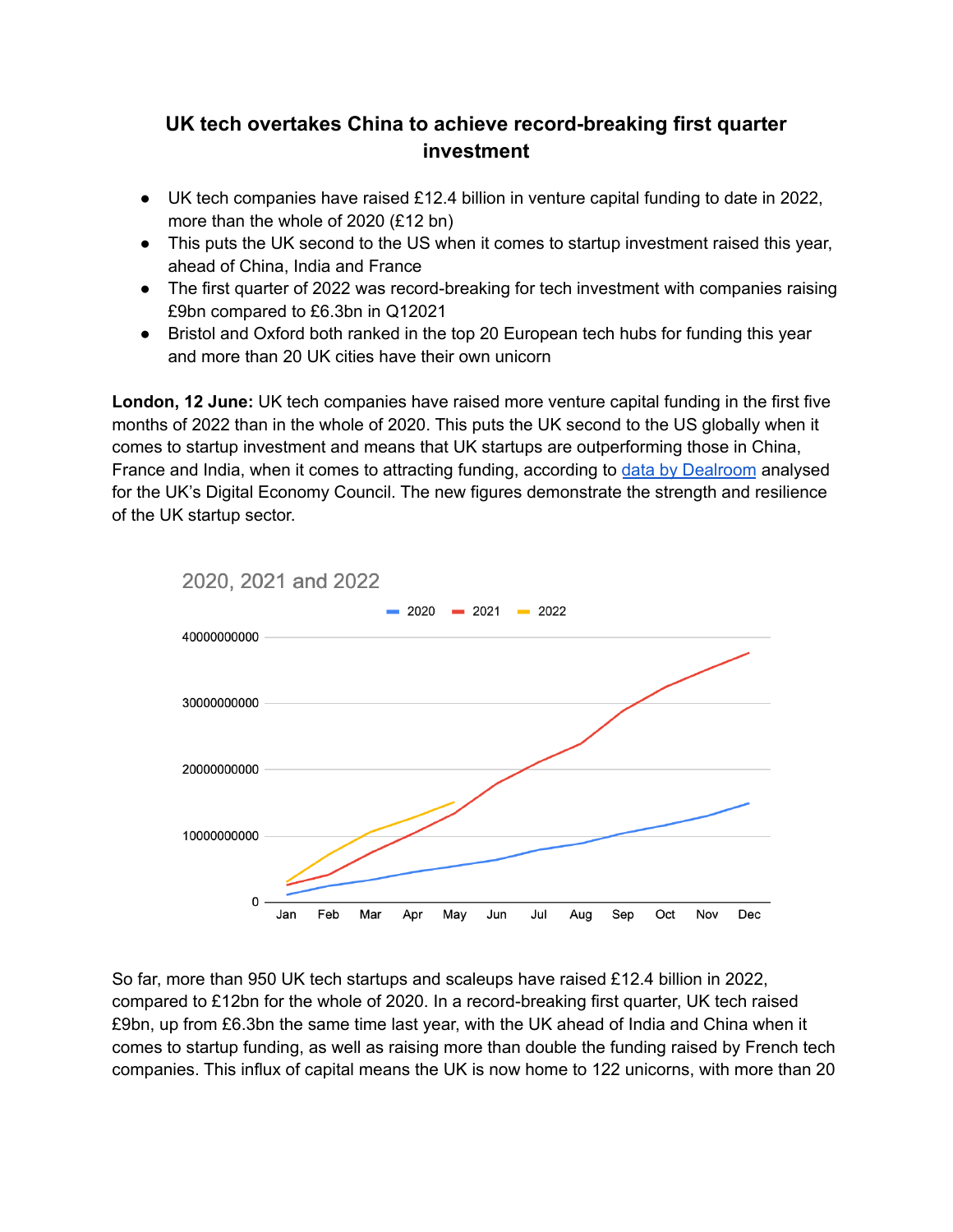# **UK tech overtakes China to achieve record-breaking first quarter investment**

- $\bullet$  UK tech companies have raised £12.4 billion in venture capital funding to date in 2022, more than the whole of 2020 (£12 bn)
- This puts the UK second to the US when it comes to startup investment raised this year, ahead of China, India and France
- The first quarter of 2022 was record-breaking for tech investment with companies raising £9bn compared to £6.3bn in Q12021
- Bristol and Oxford both ranked in the top 20 European tech hubs for funding this year and more than 20 UK cities have their own unicorn

**London, 12 June:** UK tech companies have raised more venture capital funding in the first five months of 2022 than in the whole of 2020. This puts the UK second to the US globally when it comes to startup investment and means that UK startups are outperforming those in China, France and India, when it comes to attracting funding, according to data by [Dealroom](https://docs.google.com/presentation/d/11X1P8b6_AVd4sawJg9Jj2RURp2DWDgDzQ7qg05AfxMk/edit#slide=id.gbad9246acb_0_0) analysed for the UK's Digital Economy Council. The new figures demonstrate the strength and resilience of the UK startup sector.



So far, more than 950 UK tech startups and scaleups have raised £12.4 billion in 2022, compared to £12bn for the whole of 2020. In a record-breaking first quarter, UK tech raised £9bn, up from £6.3bn the same time last year, with the UK ahead of India and China when it comes to startup funding, as well as raising more than double the funding raised by French tech companies. This influx of capital means the UK is now home to 122 unicorns, with more than 20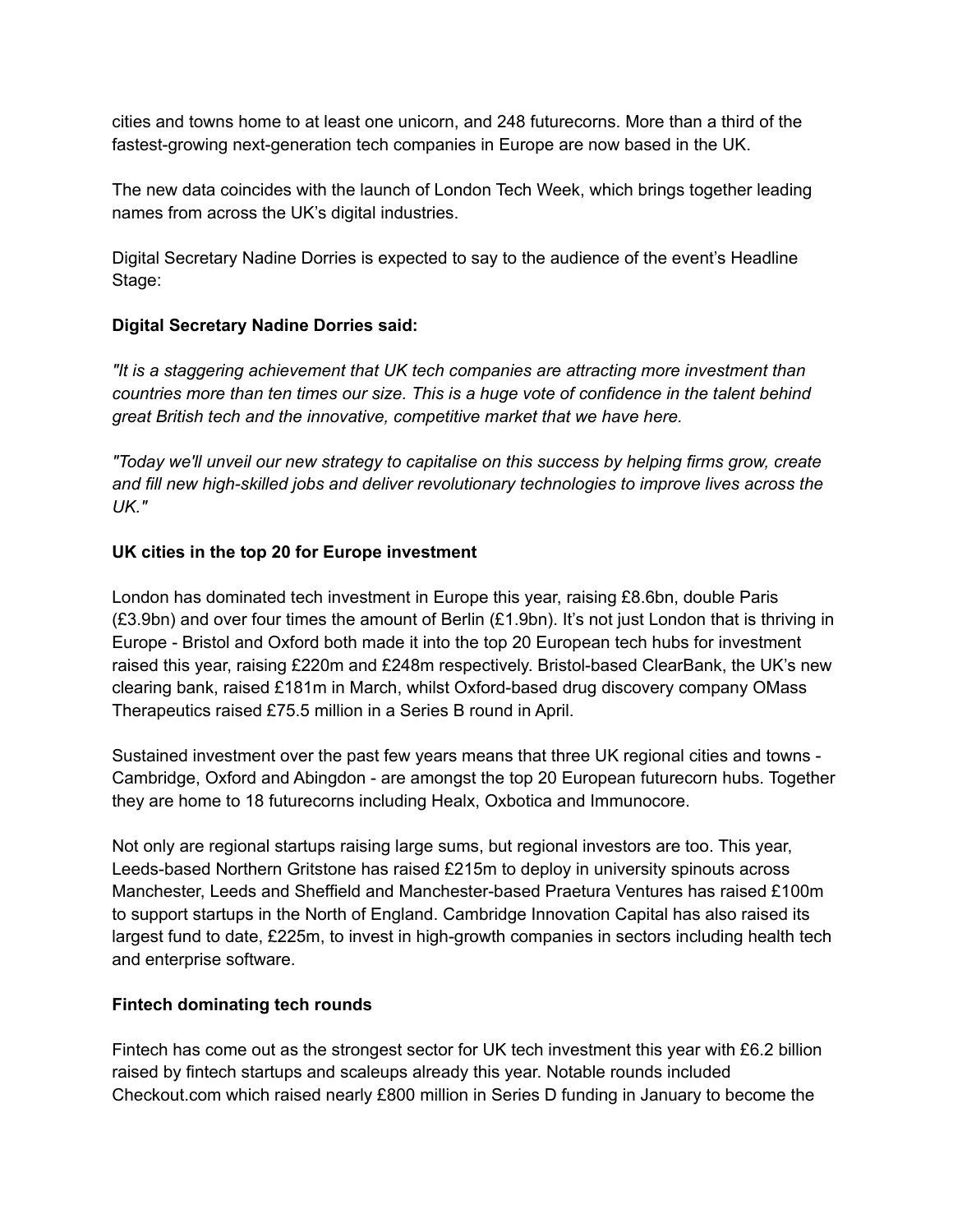cities and towns home to at least one unicorn, and 248 futurecorns. More than a third of the fastest-growing next-generation tech companies in Europe are now based in the UK.

The new data coincides with the launch of London Tech Week, which brings together leading names from across the UK's digital industries.

Digital Secretary Nadine Dorries is expected to say to the audience of the event's Headline Stage:

# **Digital Secretary Nadine Dorries said:**

*"It is a staggering achievement that UK tech companies are attracting more investment than countries more than ten times our size. This is a huge vote of confidence in the talent behind great British tech and the innovative, competitive market that we have here.*

*"Today we'll unveil our new strategy to capitalise on this success by helping firms grow, create and fill new high-skilled jobs and deliver revolutionary technologies to improve lives across the UK."*

# **UK cities in the top 20 for Europe investment**

London has dominated tech investment in Europe this year, raising £8.6bn, double Paris (£3.9bn) and over four times the amount of Berlin (£1.9bn). It's not just London that is thriving in Europe - Bristol and Oxford both made it into the top 20 European tech hubs for investment raised this year, raising £220m and £248m respectively. Bristol-based ClearBank, the UK's new clearing bank, raised £181m in March, whilst Oxford-based drug discovery company OMass Therapeutics raised £75.5 million in a Series B round in April.

Sustained investment over the past few years means that three UK regional cities and towns - Cambridge, Oxford and Abingdon - are amongst the top 20 European futurecorn hubs. Together they are home to 18 futurecorns including Healx, Oxbotica and Immunocore.

Not only are regional startups raising large sums, but regional investors are too. This year, Leeds-based Northern Gritstone has raised £215m to deploy in university spinouts across Manchester, Leeds and Sheffield and Manchester-based Praetura Ventures has raised £100m to support startups in the North of England. Cambridge Innovation Capital has also raised its largest fund to date, £225m, to invest in high-growth companies in sectors including health tech and enterprise software.

## **Fintech dominating tech rounds**

Fintech has come out as the strongest sector for UK tech investment this year with £6.2 billion raised by fintech startups and scaleups already this year. Notable rounds included Checkout.com which raised nearly £800 million in Series D funding in January to become the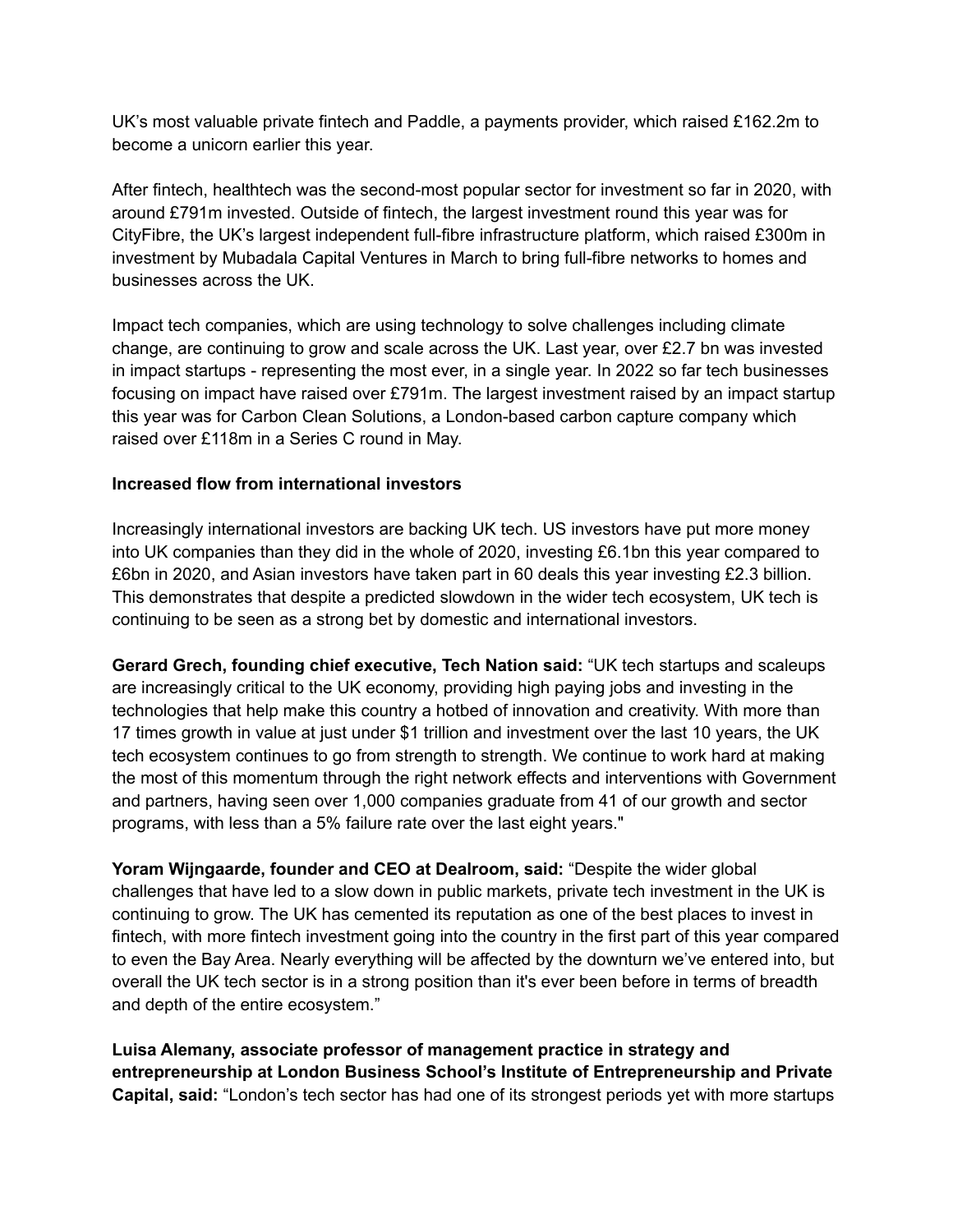UK's most valuable private fintech and Paddle, a payments provider, which raised £162.2m to become a unicorn earlier this year.

After fintech, healthtech was the second-most popular sector for investment so far in 2020, with around £791m invested. Outside of fintech, the largest investment round this year was for CityFibre, the UK's largest independent full-fibre infrastructure platform, which raised £300m in investment by Mubadala Capital Ventures in March to bring full-fibre networks to homes and businesses across the UK.

Impact tech companies, which are using technology to solve challenges including climate change, are continuing to grow and scale across the UK. Last year, over £2.7 bn was invested in impact startups - representing the most ever, in a single year. In 2022 so far tech businesses focusing on impact have raised over £791m. The largest investment raised by an impact startup this year was for Carbon Clean Solutions, a London-based carbon capture company which raised over £118m in a Series C round in May.

# **Increased flow from international investors**

Increasingly international investors are backing UK tech. US investors have put more money into UK companies than they did in the whole of 2020, investing £6.1bn this year compared to £6bn in 2020, and Asian investors have taken part in 60 deals this year investing £2.3 billion. This demonstrates that despite a predicted slowdown in the wider tech ecosystem, UK tech is continuing to be seen as a strong bet by domestic and international investors.

**Gerard Grech, founding chief executive, Tech Nation said:** "UK tech startups and scaleups are increasingly critical to the UK economy, providing high paying jobs and investing in the technologies that help make this country a hotbed of innovation and creativity. With more than 17 times growth in value at just under \$1 trillion and investment over the last 10 years, the UK tech ecosystem continues to go from strength to strength. We continue to work hard at making the most of this momentum through the right network effects and interventions with Government and partners, having seen over 1,000 companies graduate from 41 of our growth and sector programs, with less than a 5% failure rate over the last eight years."

**Yoram Wijngaarde, founder and CEO at Dealroom, said:** "Despite the wider global challenges that have led to a slow down in public markets, private tech investment in the UK is continuing to grow. The UK has cemented its reputation as one of the best places to invest in fintech, with more fintech investment going into the country in the first part of this year compared to even the Bay Area. Nearly everything will be affected by the downturn we've entered into, but overall the UK tech sector is in a strong position than it's ever been before in terms of breadth and depth of the entire ecosystem."

**Luisa Alemany, associate professor of management practice in strategy and entrepreneurship at London Business School's Institute of Entrepreneurship and Private Capital, said:** "London's tech sector has had one of its strongest periods yet with more startups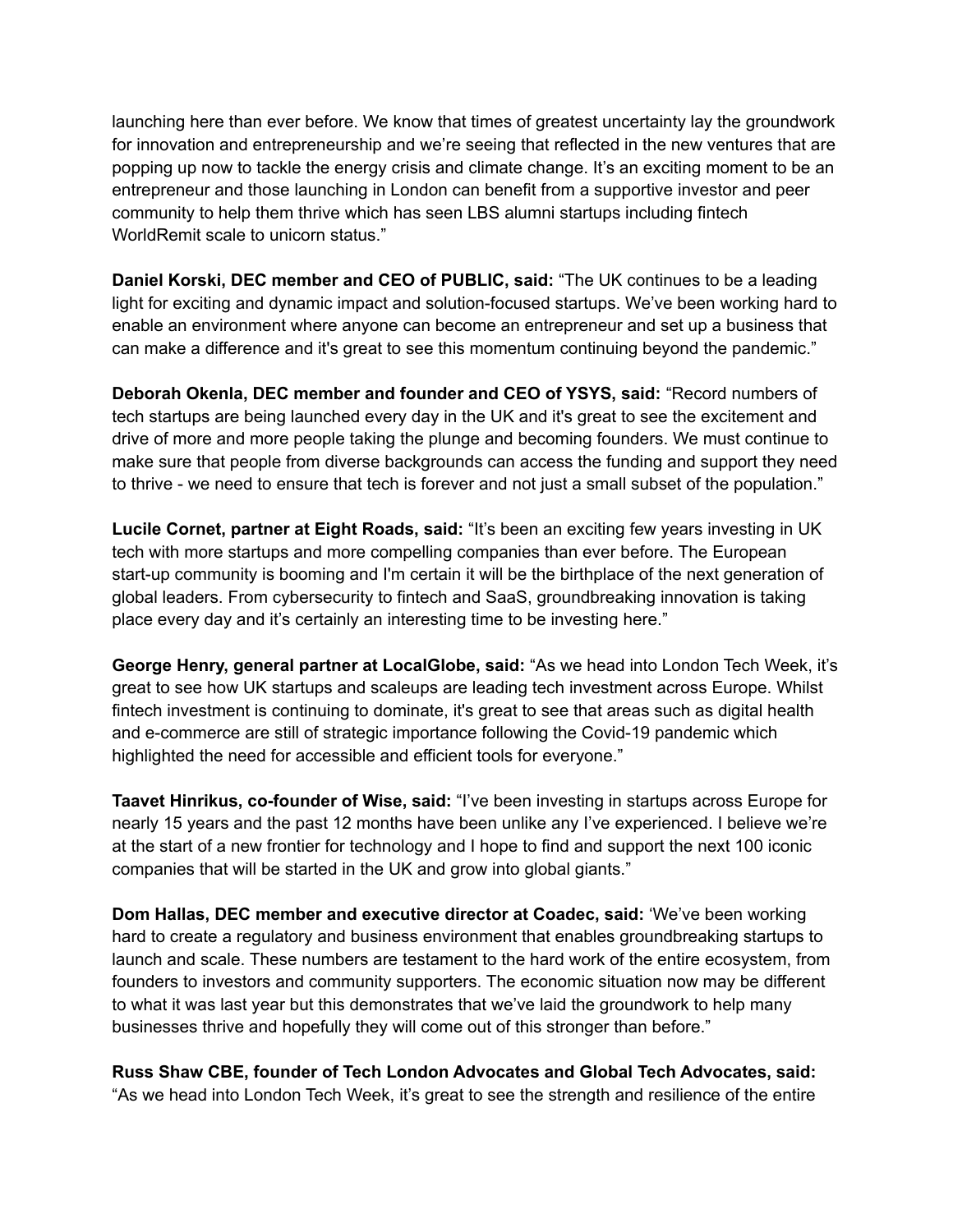launching here than ever before. We know that times of greatest uncertainty lay the groundwork for innovation and entrepreneurship and we're seeing that reflected in the new ventures that are popping up now to tackle the energy crisis and climate change. It's an exciting moment to be an entrepreneur and those launching in London can benefit from a supportive investor and peer community to help them thrive which has seen LBS alumni startups including fintech WorldRemit scale to unicorn status."

**Daniel Korski, DEC member and CEO of PUBLIC, said:** "The UK continues to be a leading light for exciting and dynamic impact and solution-focused startups. We've been working hard to enable an environment where anyone can become an entrepreneur and set up a business that can make a difference and it's great to see this momentum continuing beyond the pandemic."

**Deborah Okenla, DEC member and founder and CEO of YSYS, said:** "Record numbers of tech startups are being launched every day in the UK and it's great to see the excitement and drive of more and more people taking the plunge and becoming founders. We must continue to make sure that people from diverse backgrounds can access the funding and support they need to thrive - we need to ensure that tech is forever and not just a small subset of the population."

**Lucile Cornet, partner at Eight Roads, said:** "It's been an exciting few years investing in UK tech with more startups and more compelling companies than ever before. The European start-up community is booming and I'm certain it will be the birthplace of the next generation of global leaders. From cybersecurity to fintech and SaaS, groundbreaking innovation is taking place every day and it's certainly an interesting time to be investing here."

**George Henry, general partner at LocalGlobe, said:** "As we head into London Tech Week, it's great to see how UK startups and scaleups are leading tech investment across Europe. Whilst fintech investment is continuing to dominate, it's great to see that areas such as digital health and e-commerce are still of strategic importance following the Covid-19 pandemic which highlighted the need for accessible and efficient tools for everyone."

**Taavet Hinrikus, co-founder of Wise, said:** "I've been investing in startups across Europe for nearly 15 years and the past 12 months have been unlike any I've experienced. I believe we're at the start of a new frontier for technology and I hope to find and support the next 100 iconic companies that will be started in the UK and grow into global giants."

**Dom Hallas, DEC member and executive director at Coadec, said:** 'We've been working hard to create a regulatory and business environment that enables groundbreaking startups to launch and scale. These numbers are testament to the hard work of the entire ecosystem, from founders to investors and community supporters. The economic situation now may be different to what it was last year but this demonstrates that we've laid the groundwork to help many businesses thrive and hopefully they will come out of this stronger than before."

**Russ Shaw CBE, founder of Tech London Advocates and Global Tech Advocates, said:** "As we head into London Tech Week, it's great to see the strength and resilience of the entire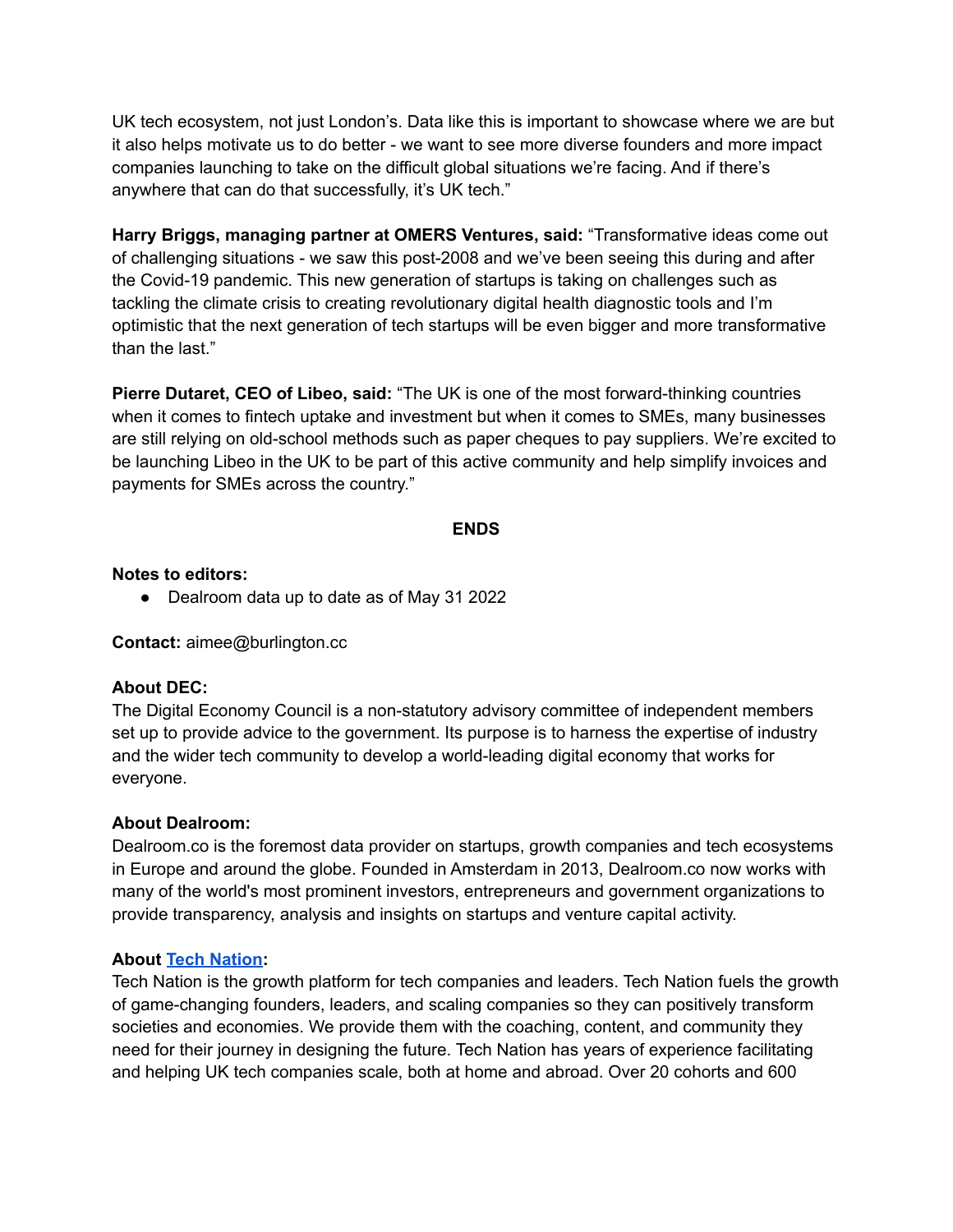UK tech ecosystem, not just London's. Data like this is important to showcase where we are but it also helps motivate us to do better - we want to see more diverse founders and more impact companies launching to take on the difficult global situations we're facing. And if there's anywhere that can do that successfully, it's UK tech."

**Harry Briggs, managing partner at OMERS Ventures, said:** "Transformative ideas come out of challenging situations - we saw this post-2008 and we've been seeing this during and after the Covid-19 pandemic. This new generation of startups is taking on challenges such as tackling the climate crisis to creating revolutionary digital health diagnostic tools and I'm optimistic that the next generation of tech startups will be even bigger and more transformative than the last."

**Pierre Dutaret, CEO of Libeo, said:** "The UK is one of the most forward-thinking countries when it comes to fintech uptake and investment but when it comes to SMEs, many businesses are still relying on old-school methods such as paper cheques to pay suppliers. We're excited to be launching Libeo in the UK to be part of this active community and help simplify invoices and payments for SMEs across the country."

#### **ENDS**

#### **Notes to editors:**

● Dealroom data up to date as of May 31 2022

**Contact:** aimee@burlington.cc

## **About DEC:**

The Digital Economy Council is a non-statutory advisory committee of independent members set up to provide advice to the government. Its purpose is to harness the expertise of industry and the wider tech community to develop a world-leading digital economy that works for everyone.

#### **About Dealroom:**

Dealroom.co is the foremost data provider on startups, growth companies and tech ecosystems in Europe and around the globe. Founded in Amsterdam in 2013, Dealroom.co now works with many of the world's most prominent investors, entrepreneurs and government organizations to provide transparency, analysis and insights on startups and venture capital activity.

## **About Tech [Nation:](https://technation.io/)**

Tech Nation is the growth platform for tech companies and leaders. Tech Nation fuels the growth of game-changing founders, leaders, and scaling companies so they can positively transform societies and economies. We provide them with the coaching, content, and community they need for their journey in designing the future. Tech Nation has years of experience facilitating and helping UK tech companies scale, both at home and abroad. Over 20 cohorts and 600